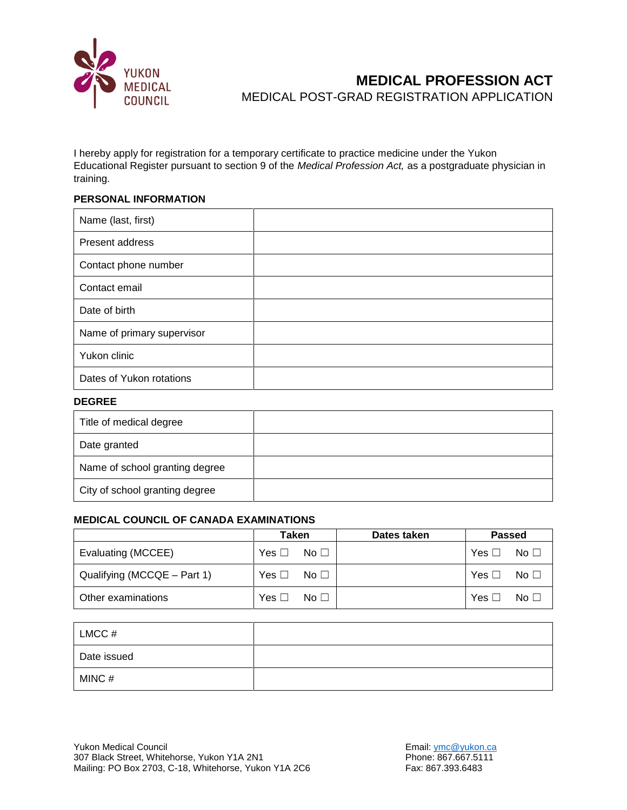

# **MEDICAL PROFESSION ACT** MEDICAL POST-GRAD REGISTRATION APPLICATION

I hereby apply for registration for a temporary certificate to practice medicine under the Yukon Educational Register pursuant to section 9 of the *Medical Profession Act,* as a postgraduate physician in training.

### **PERSONAL INFORMATION**

| Name (last, first)         |  |
|----------------------------|--|
| Present address            |  |
| Contact phone number       |  |
| Contact email              |  |
| Date of birth              |  |
| Name of primary supervisor |  |
| Yukon clinic               |  |
| Dates of Yukon rotations   |  |

#### **DEGREE**

| Title of medical degree        |  |
|--------------------------------|--|
| Date granted                   |  |
| Name of school granting degree |  |
| City of school granting degree |  |

### **MEDICAL COUNCIL OF CANADA EXAMINATIONS**

|                             | Taken                   | Dates taken | <b>Passed</b>           |
|-----------------------------|-------------------------|-------------|-------------------------|
| Evaluating (MCCEE)          | $Yes \Box No \Box$      |             | No $\Box$<br>Yes $\Box$ |
| Qualifying (MCCQE – Part 1) | Yes $\Box$ No $\Box$    |             | $Yes \Box No \Box$      |
| Other examinations          | No $\Box$<br>Yes $\Box$ |             | Yes $\Box$<br>No $\Box$ |

| LMCC #      |  |
|-------------|--|
| Date issued |  |
| MINC#       |  |